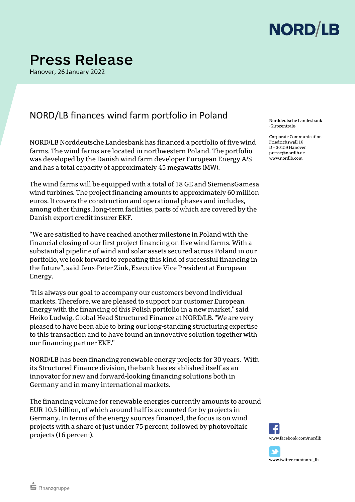

## **Press Release**

Hanover, 26 January 2022

## NORD/LB finances wind farm portfolio in Poland

NORD/LB Norddeutsche Landesbank has financed a portfolio of five wind farms. The wind farms are located in northwestern Poland. The portfolio was developed by the Danish wind farm developer European Energy A/S and has a total capacity of approximately 45 megawatts (MW).

The wind farms will be equipped with a total of 18 GE and SiemensGamesa wind turbines. The project financing amounts to approximately 60 million euros. It covers the construction and operational phases and includes, among other things, long-term facilities, parts of which are covered by the Danish export credit insurer EKF.

"We are satisfied to have reached another milestone in Poland with the financial closing of our first project financing on five wind farms. With a substantial pipeline of wind and solar assets secured across Poland in our portfolio, we look forward to repeating this kind of successful financing in the future", said Jens-Peter Zink, Executive Vice President at European Energy.

"It is always our goal to accompany our customers beyond individual markets. Therefore, we are pleased to support our customer European Energy with the financing of this Polish portfolio in a new market," said Heiko Ludwig, Global Head Structured Finance at NORD/LB. "We are very pleased to have been able to bring our long-standing structuring expertise to this transaction and to have found an innovative solution together with our financing partner EKF."

NORD/LB has been financing renewable energy projects for 30 years. With its Structured Finance division, the bank has established itself as an innovator for new and forward-looking financing solutions both in Germany and in many international markets.

The financing volume for renewable energies currently amounts to around EUR 10.5 billion, of which around half is accounted for by projects in Germany. In terms of the energy sources financed, the focus is on wind projects with a share of just under 75 percent, followed by photovoltaic projects (16 percent).

Norddeutsche Landesbank Girozentrale

Corporate Communication Friedrichswall 10  $D - 30159$  Hanover presse@nordlb.de www.nordlb.com



www.twitter.com/nord\_lb